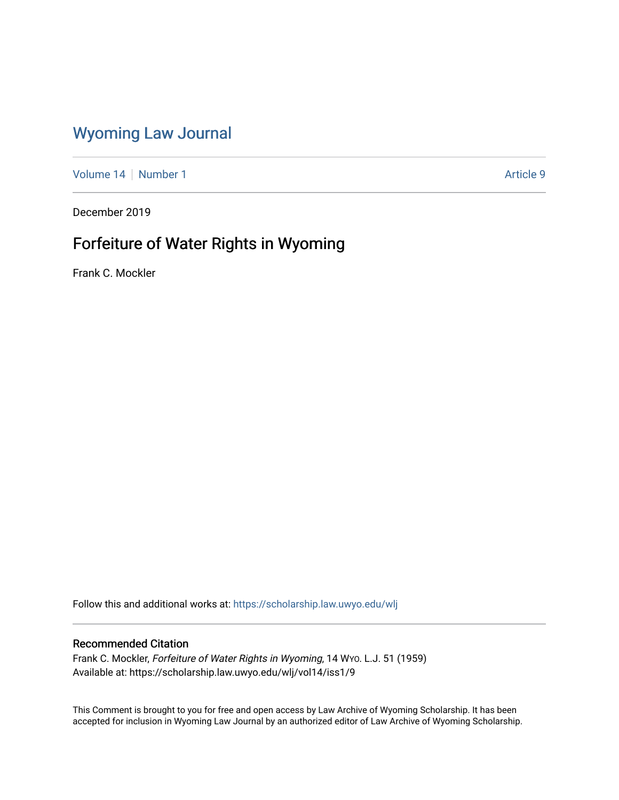## [Wyoming Law Journal](https://scholarship.law.uwyo.edu/wlj)

[Volume 14](https://scholarship.law.uwyo.edu/wlj/vol14) | [Number 1](https://scholarship.law.uwyo.edu/wlj/vol14/iss1) Article 9

December 2019

# Forfeiture of Water Rights in Wyoming

Frank C. Mockler

Follow this and additional works at: [https://scholarship.law.uwyo.edu/wlj](https://scholarship.law.uwyo.edu/wlj?utm_source=scholarship.law.uwyo.edu%2Fwlj%2Fvol14%2Fiss1%2F9&utm_medium=PDF&utm_campaign=PDFCoverPages) 

## Recommended Citation

Frank C. Mockler, Forfeiture of Water Rights in Wyoming, 14 WYO. L.J. 51 (1959) Available at: https://scholarship.law.uwyo.edu/wlj/vol14/iss1/9

This Comment is brought to you for free and open access by Law Archive of Wyoming Scholarship. It has been accepted for inclusion in Wyoming Law Journal by an authorized editor of Law Archive of Wyoming Scholarship.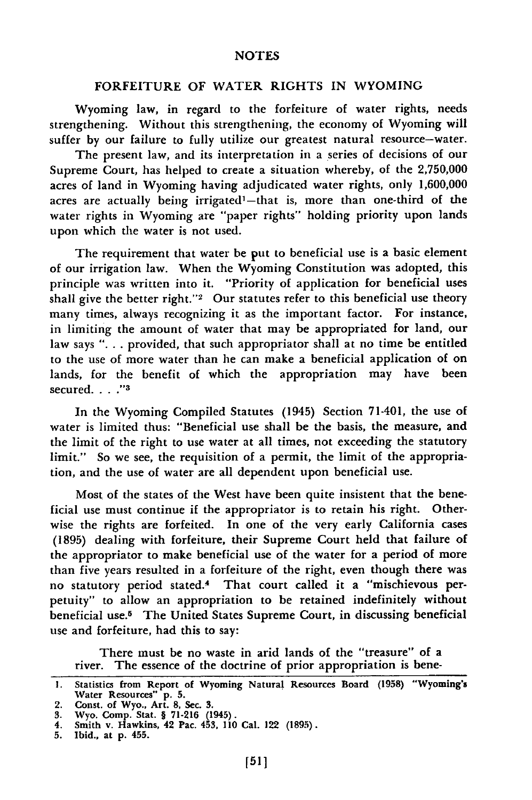#### FORFEITURE OF WATER RIGHTS IN WYOMING

Wyoming law, in regard to the forfeiture of water rights, needs strengthening. Without this strengthening, the economy of Wyoming will suffer **by** our failure to fully utilize our greatest natural resource-water.

The present law, and its interpretation in a series of decisions of our Supreme Court, has helped to create a situation whereby, of the **2,750,000** acres of land in Wyoming having adjudicated water rights, only **1,600,000** acres are actually being irrigated<sup>1</sup>-that is, more than one-third of the water rights in Wyoming are "paper rights" holding priority upon lands upon which the water is not used.

The requirement that water be put to beneficial use is a basic element of our irrigation law. When the Wyoming Constitution was adopted, this principle was written into it. "Priority of application for beneficial uses shall give the better right."<sup>2</sup> Our statutes refer to this beneficial use theory many times, always recognizing it as the important factor. For instance, in limiting the amount of water that may be appropriated for land, our law says **". . .** provided, that such appropriator shall at no time be entitled to the use of more water than he can make a beneficial application of on lands, for the benefit of which the appropriation may have been secured **... "3**

In the Wyoming Compiled Statutes (1945) Section 71-401, the use of water is limited thus: "Beneficial use shall be the basis, the measure, and the limit of the right to use water at all times, not exceeding the statutory limit." So we see, the requisition of a permit, the limit of the appropriation, and the use of water are all dependent upon beneficial use.

Most of the states of the West have been quite insistent that the beneficial use must continue if the appropriator is to retain his right. Otherwise the rights are forfeited. In one of the very early California cases **(1895)** dealing with forfeiture, their Supreme Court held that failure of the appropriator to make beneficial use of the water for a period of more than five years resulted in a forfeiture of the right, even though there was no statutory period stated.4 That court called it a "mischievous perpetuity" to allow an appropriation to be retained indefinitely without beneficial use.5 The United States Supreme Court, in discussing beneficial use and forfeiture, had this to say:

There must be no waste in **arid** lands of the "treasure" of a river. The essence of the doctrine of prior appropriation is bene-

**<sup>1.</sup>** Statistics from Report of Wyoming Natural Resources Board **(1958)** "Wyoming's Water Resources" **p. 5.**

<sup>2.</sup> Const. of Wyo., Art. **8,** Sec. **3.**

**<sup>3.</sup>** Wyo. Comp. Stat. § **71-216** (1945).

<sup>4.</sup> Smith v. Hawkins, 42 Pac. 453, **110** Cal. 122 **(1895). 5.** Ibid., at **p.** 455.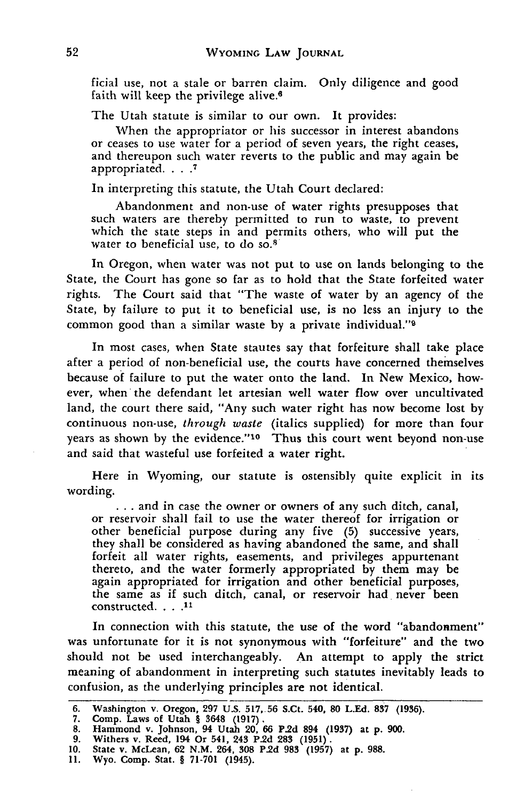ficial use, not a stale or barren claim. Only diligence and good faith will keep the privilege alive.6

The Utah statute is similar to our own. It provides:

When the appropriator or his successor in interest abandons or ceases to use water for a period of seven years, the right ceases, and thereupon such water reverts to the public and may again be appropriated. . . **.7**

In interpreting this statute, the Utah Court declared:

Abandonment and non-use of water rights presupposes that such waters are thereby permitted to run to waste, to prevent which the state steps in and permits others, who will put the water to beneficial use, to do so.<sup>8</sup>

In Oregon, when water was not put to use on lands belonging to the State, the Court has gone so far as to hold that the State forfeited water rights. The Court said that "The waste of water by an agency of the State, by failure to put it to beneficial use, is no less an injury to the common good than a similar waste by a private individual."9

In most cases, when State stautes say that forfeiture shall take place after a period of non-beneficial use, the courts have concerned themselves because of failure to put the water onto the land. In New Mexico, however, when the defendant let artesian well water flow over uncultivated land, the court there said, "Any such water right has now become lost by continuous non-use, *through waste* (italics supplied) for more than four years as shown by the evidence."<sup>10</sup> Thus this court went beyond non-use and said that wasteful use forfeited a water right.

Here in Wyoming, our statute is ostensibly quite explicit in its wording.

**...** and in case the owner or owners of any such ditch, canal, or reservoir shall fail to use the water thereof for irrigation or other beneficial purpose during any five (5) successive years, they shall be considered as having abandoned the same, and shall forfeit all water rights, easements, and privileges appurtenant thereto, and the water formerly appropriated by them may be again appropriated for irrigation and other beneficial purposes, the same as if such ditch, canal, or reservoir had never been constructed. . . **.11**

In connection with this statute, the use of the word "abandonment" was unfortunate for it is not synonymous with "forfeiture" and the two should not be used interchangeably. An attempt to apply the strict meaning of abandonment in interpreting such statutes inevitably leads to confusion, as the underlying principles are not identical.

**<sup>6.</sup> Washington** v. **Oregon, 297 U.S. 517, 56 S.Ct. 540, 80 L.Ed. 837 (1936).**

**<sup>7.</sup> Comp. Laws of Utah** § **3648 (1917). 8. Hammond v.** Johnson, 94 Utah **20, 66 P.2d 894 (1937) at p. 900. 9. Withers v. Reed, 194 Or 541, 243 P.2d 283 (1951).**

**<sup>10.</sup> State v. McLean, 62 N.M. 264, 308 P.2d 983 (1957) at p. 988.**

**<sup>11.</sup> Wyo. Comp. Stat. § 71-701** (1945).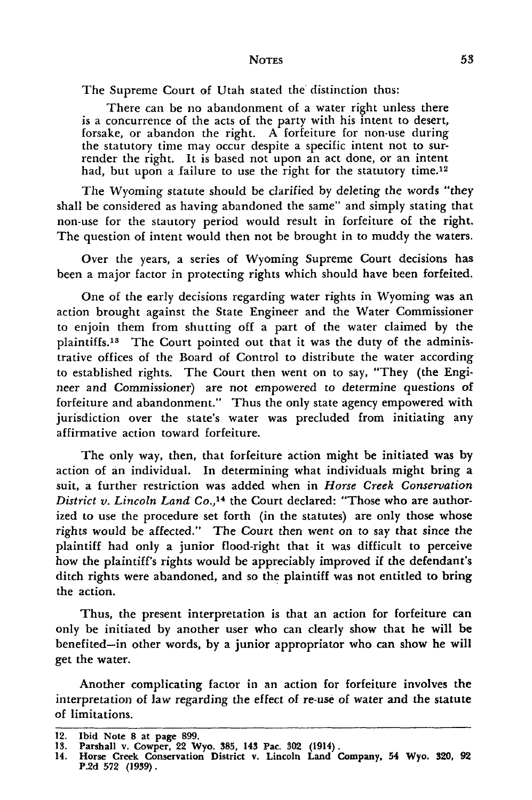#### **NOTES**

The Supreme Court of Utah stated the distinction thus:

There can be no abandonment of a water right unless there is a concurrence of the acts of the party with his intent to desert, forsake, or abandon the right. A forfeiture for non-use during the statutory time may occur despite a specific intent not to surrender the right. It is based not upon an act done, or an intent had, but upon a failure to use the right for the statutory time.<sup>12</sup>

The Wyoming statute should be clarified by deleting the words "they shall be considered as having abandoned the same" and simply stating that non-use for the stautory period would result in forfeiture of the right. The question of intent would then not be brought in to muddy the waters.

Over the years, a series of Wyoming Supreme Court decisions has been a major factor in protecting rights which should have been forfeited.

One of the early decisions regarding water rights in Wyoming was an action brought against the State Engineer and the Water Commissioner to enjoin them from shutting off a part of the water claimed by the plaintiffs.<sup>13</sup> The Court pointed out that it was the duty of the administrative offices of the Board of Control to distribute the water according to established rights. The Court then went on to say, "They (the Engineer and Commissioner) are not empowered to determine questions of forfeiture and abandonment." Thus the only state agency empowered with jurisdiction over the state's water was precluded from initiating any affirmative action toward forfeiture.

The only way, then, that forfeiture action might be initiated was by action of an individual. In determining what individuals might bring a suit, a further restriction was added when in *Horse Creek Conservation District v. Lincoln Land Co.*,<sup>14</sup> the Court declared: "Those who are authorized to use the procedure set forth (in the statutes) are only those whose rights would be affected." The Court then went on to say that since the plaintiff had only a junior flood-right that it was difficult to perceive how the plaintiff's rights would be appreciably improved if the defendant's ditch rights were abandoned, and so the plaintiff was not entitled to bring the action.

Thus, the present interpretation is that an action for forfeiture can only be initiated by another user who can clearly show that he will be benefited-in other words, by a junior appropriator who can show he will get the water.

Another complicating factor in an action for forfeiture involves the interpretation of law regarding the effect of re-use of water and the statute of limitations.

<sup>12.</sup> Ibid Note **8** at page **899.**

**<sup>13.</sup>** Parshall v. Cowper, 22 Wyo. **385,** 143 Pac. **302** (1914).

<sup>14.</sup> Horse Creek Conservation District v. Lincoln Land Company, 54 Wyo. 320, **92 P.2d 572 (1939).**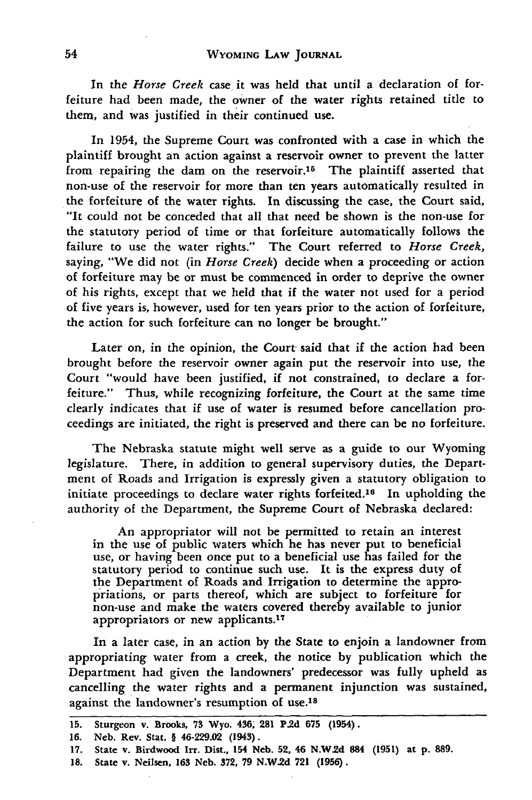In the *Horse Creek* case it was held that until a declaration of forfeiture had been made, the owner of the water rights retained title to them, and was justified in their continued use.

In 1954, the Supreme Court was confronted with a case in which the plaintiff brought an action against a reservoir owner to prevent the latter from repairing the dam on the reservoir.<sup>15</sup> The plaintiff asserted that non-use of the reservoir for more than ten years automatically resulted in the forfeiture of the water rights. In discussing the case, the Court said, "It could not be conceded that all that need be shown is the non-use for the statutory period of time or that forfeiture automatically follows the failure to use the water rights." The Court referred to *Horse Creek,* saying, "We did not (in *Horse Creek)* decide when a proceeding or action of forfeiture may be or must be commenced in order to deprive the owner of his rights, except that we held that if the water not used for a period of five years is, however, used for ten years prior to the action of forfeiture, the action for such forfeiture can no longer be brought."

Later on, in the opinion, the Court said that if the action had been brought before the reservoir owner again put the reservoir into use, the Court "would have been justified, if not constrained, to declare a forfeiture." Thus, while recognizing forfeiture, the Court at the same time clearly indicates that if use of water is resumed before cancellation proceedings are initiated, the right is preserved and there can be no forfeiture.

The Nebraska statute might well serve as a guide to our Wyoming legislature. There, in addition to general supervisory duties, the Department of Roads and Irrigation is expressly given a statutory obligation to initiate proceedings to declare water rights forfeited.16 In upholding the authority of the Department, the Supreme Court of Nebraska declared:

An appropriator will not be permitted to retain an interes in the use of public waters which he has never put to beneficial use, or having been once put to a beneficial use has failed for the statutory period to continue such use. It is the express duty of the Department of Roads and Irrigation to determine the appropriations, or parts thereof, which are subject to forfeiture for non-use and make the waters covered thereby available to junior appropriators or new applicants. <sup>17</sup>

In a later case, in an action by the State to enjoin a landowner from appropriating water from a creek, the notice by publication which the Department had given the landowners' predecessor was fully upheld as cancelling the water rights and a permanent injunction was sustained, against the landowner's resumption of use.<sup>18</sup>

**<sup>15.</sup> Sturgeon v. Brooks, 73 Wyo. 436, 281 P.2d 675 (1954).**

**<sup>16.</sup> Neb. Rev. Stat.** § **46-229.02 (1943).**

**<sup>17.</sup> State v. Birdwood Irr. Dist., 154 Neb. 52, 46 N.W.2d 884 (1951)** at **p. 889.**

**<sup>18.</sup>** State **v. Neilsen, 163** Neb. **372, 79 N.W.2d 721 (1956).**